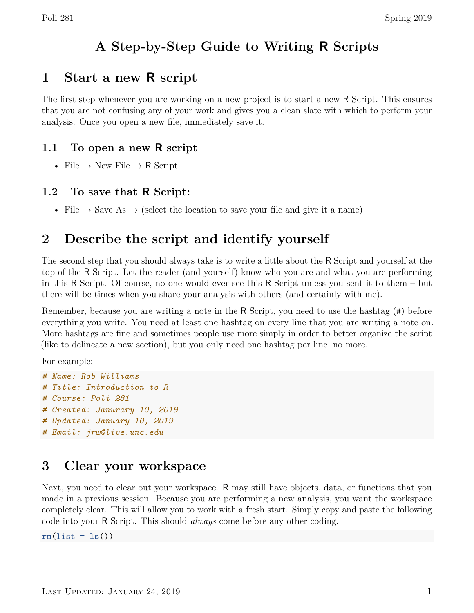## **A Step-by-Step Guide to Writing R Scripts**

#### **1 Start a new R script**

The first step whenever you are working on a new project is to start a new R Script. This ensures that you are not confusing any of your work and gives you a clean slate with which to perform your analysis. Once you open a new file, immediately save it.

#### **1.1 To open a new R script**

• File  $\rightarrow$  New File  $\rightarrow$  R Script

#### **1.2 To save that R Script:**

• File  $\rightarrow$  Save As  $\rightarrow$  (select the location to save your file and give it a name)

## **2 Describe the script and identify yourself**

The second step that you should always take is to write a little about the R Script and yourself at the top of the R Script. Let the reader (and yourself) know who you are and what you are performing in this R Script. Of course, no one would ever see this R Script unless you sent it to them – but there will be times when you share your analysis with others (and certainly with me).

Remember, because you are writing a note in the R Script, you need to use the hashtag (#) before everything you write. You need at least one hashtag on every line that you are writing a note on. More hashtags are fine and sometimes people use more simply in order to better organize the script (like to delineate a new section), but you only need one hashtag per line, no more.

For example:

*# Name: Rob Williams # Title: Introduction to R # Course: Poli 281 # Created: Janurary 10, 2019 # Updated: January 10, 2019 # Email: jrw@live.unc.edu*

## **3 Clear your workspace**

Next, you need to clear out your workspace. R may still have objects, data, or functions that you made in a previous session. Because you are performing a new analysis, you want the workspace completely clear. This will allow you to work with a fresh start. Simply copy and paste the following code into your R Script. This should *always* come before any other coding.

**rm**(list = **ls**())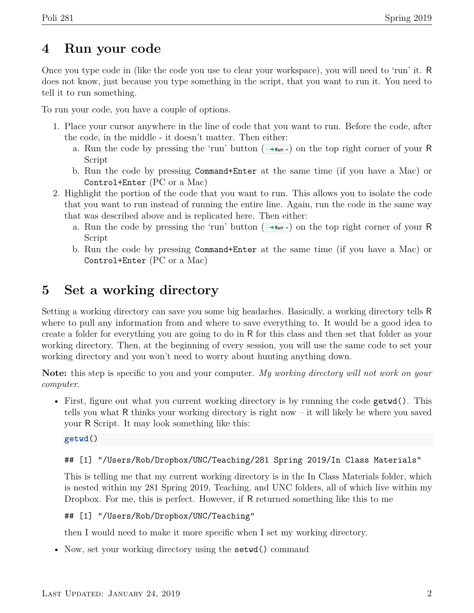#### **4 Run your code**

Once you type code in (like the code you use to clear your workspace), you will need to 'run' it. R does not know, just because you type something in the script, that you want to run it. You need to tell it to run something.

To run your code, you have a couple of options.

- 1. Place your cursor anywhere in the line of code that you want to run. Before the code, after the code, in the middle - it doesn't matter. Then either:
	- a. Run the code by pressing the 'run' button ( $\rightarrow$  $\mathbf{r}_{\text{min}}$ ) on the top right corner of your R Script
	- b. Run the code by pressing Command+Enter at the same time (if you have a Mac) or Control+Enter (PC or a Mac)
- 2. Highlight the portion of the code that you want to run. This allows you to isolate the code that you want to run instead of running the entire line. Again, run the code in the same way that was described above and is replicated here. Then either:
	- a. Run the code by pressing the 'run' button ( $\rightarrow$ Run $\cdot$ ) on the top right corner of your R Script
	- b. Run the code by pressing Command+Enter at the same time (if you have a Mac) or Control+Enter (PC or a Mac)

## **5 Set a working directory**

Setting a working directory can save you some big headaches. Basically, a working directory tells R where to pull any information from and where to save everything to. It would be a good idea to create a folder for everything you are going to do in R for this class and then set that folder as your working directory. Then, at the beginning of every session, you will use the same code to set your working directory and you won't need to worry about hunting anything down.

**Note:** this step is specific to you and your computer. *My working directory will not work on your computer*.

• First, figure out what you current working directory is by running the code getwd(). This tells you what R thinks your working directory is right now – it will likely be where you saved your R Script. It may look something like this:

**getwd**()

#### ## [1] "/Users/Rob/Dropbox/UNC/Teaching/281 Spring 2019/In Class Materials"

This is telling me that my current working directory is in the In Class Materials folder, which is nested within my 281 Spring 2019, Teaching, and UNC folders, all of which live within my Dropbox. For me, this is perfect. However, if R returned something like this to me

#### ## [1] "/Users/Rob/Dropbox/UNC/Teaching"

then I would need to make it more specific when I set my working directory.

• Now, set your working directory using the setwd() command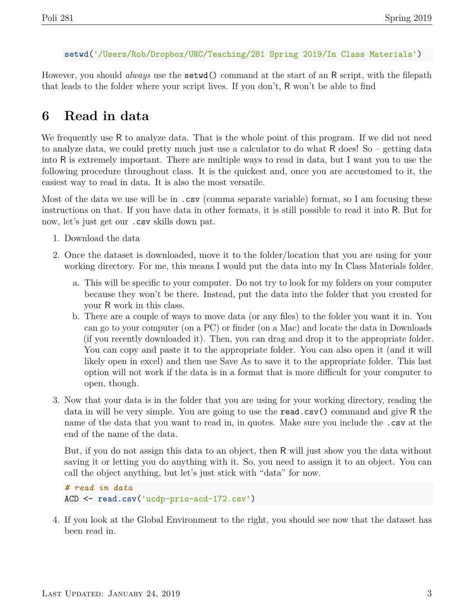```
setwd('/Users/Rob/Dropbox/UNC/Teaching/281 Spring 2019/In Class Materials')
```
However, you should *always* use the setwd() command at the start of an R script, with the filepath that leads to the folder where your script lives. If you don't, R won't be able to find

## **6 Read in data**

We frequently use R to analyze data. That is the whole point of this program. If we did not need to analyze data, we could pretty much just use a calculator to do what R does! So – getting data into R is extremely important. There are multiple ways to read in data, but I want you to use the following procedure throughout class. It is the quickest and, once you are accustomed to it, the easiest way to read in data. It is also the most versatile.

Most of the data we use will be in .csv (comma separate variable) format, so I am focusing these instructions on that. If you have data in other formats, it is still possible to read it into R. But for now, let's just get our .csv skills down pat.

- 1. Download the data
- 2. Once the dataset is downloaded, move it to the folder/location that you are using for your working directory. For me, this means I would put the data into my In Class Materials folder.
	- a. This will be specific to your computer. Do not try to look for my folders on your computer because they won't be there. Instead, put the data into the folder that you created for your R work in this class.
	- b. There are a couple of ways to move data (or any files) to the folder you want it in. You can go to your computer (on a PC) or finder (on a Mac) and locate the data in Downloads (if you recently downloaded it). Then, you can drag and drop it to the appropriate folder. You can copy and paste it to the appropriate folder. You can also open it (and it will likely open in excel) and then use Save As to save it to the appropriate folder. This last option will not work if the data is in a format that is more difficult for your computer to open, though.
- 3. Now that your data is in the folder that you are using for your working directory, reading the data in will be very simple. You are going to use the read.csv() command and give R the name of the data that you want to read in, in quotes. Make sure you include the .csv at the end of the name of the data.

But, if you do not assign this data to an object, then R will just show you the data without saving it or letting you do anything with it. So, you need to assign it to an object. You can call the object anything, but let's just stick with "data" for now.

```
# read in data
ACD <- read.csv('ucdp-prio-acd-172.csv')
```
4. If you look at the Global Environment to the right, you should see now that the dataset has been read in.